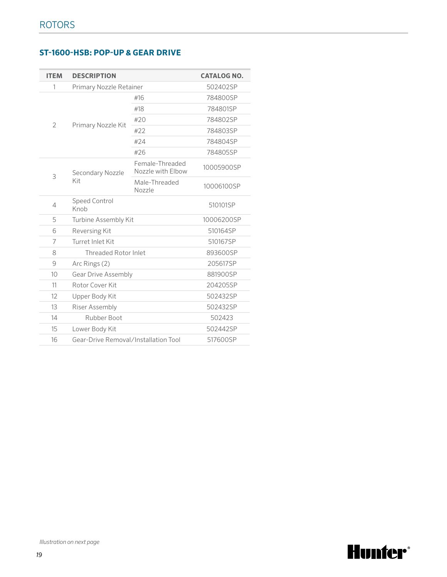## **ST-1600-HSB: POP-UP & GEAR DRIVE**

| <b>ITEM</b>    | <b>DESCRIPTION</b>                   |                                      | <b>CATALOG NO.</b> |
|----------------|--------------------------------------|--------------------------------------|--------------------|
| 1              | Primary Nozzle Retainer              |                                      | 502402SP           |
| $\overline{2}$ |                                      | #16                                  | 784800SP           |
|                | Primary Nozzle Kit                   | #18                                  | 784801SP           |
|                |                                      | #20                                  | 784802SP           |
|                |                                      | #22                                  | 784803SP           |
|                |                                      | #24                                  | 784804SP           |
|                |                                      | #26                                  | 784805SP           |
| 3              | Secondary Nozzle<br>Kit              | Female-Threaded<br>Nozzle with Elbow | 10005900SP         |
|                |                                      | Male-Threaded<br>Nozzle              | 10006100SP         |
| $\overline{4}$ | <b>Speed Control</b><br>Knob         |                                      | 510101SP           |
| 5              | Turbine Assembly Kit                 |                                      | 10006200SP         |
| 6              | Reversing Kit                        |                                      | 510164SP           |
| $\overline{7}$ | Turret Inlet Kit                     |                                      | 510167SP           |
| 8              | <b>Threaded Rotor Inlet</b>          |                                      | 893600SP           |
| 9              | Arc Rings (2)                        |                                      | 205617SP           |
| 10             | <b>Gear Drive Assembly</b>           |                                      | 881900SP           |
| 11             | Rotor Cover Kit                      |                                      | 204205SP           |
| 12             | Upper Body Kit                       |                                      | 502432SP           |
| 13             | Riser Assembly                       |                                      | 502432SP           |
| 14             | Rubber Boot                          |                                      | 502423             |
| 15             | Lower Body Kit                       |                                      | 502442SP           |
| 16             | Gear-Drive Removal/Installation Tool |                                      | 517600SP           |

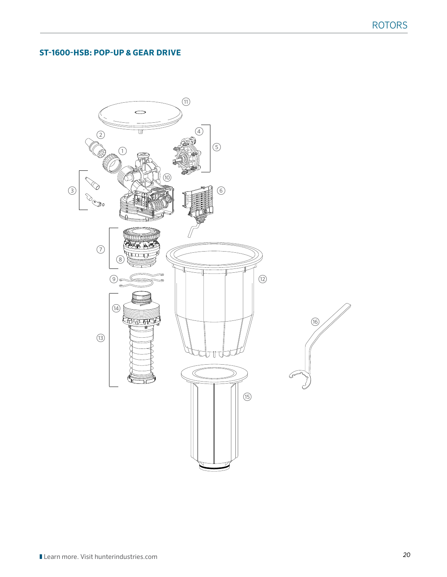## **ST-1600-HSB: POP-UP & GEAR DRIVE**

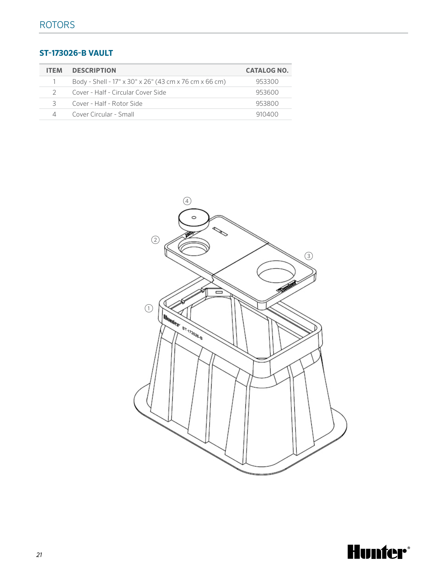## **ST-173026-B VAULT**

| <b>ITEM</b>   | <b>DESCRIPTION</b>                                     | <b>CATALOG NO.</b> |
|---------------|--------------------------------------------------------|--------------------|
|               | Body - Shell - 17" x 30" x 26" (43 cm x 76 cm x 66 cm) | 953300             |
| $\mathcal{D}$ | Cover - Half - Circular Cover Side                     | 953600             |
| 3             | Cover - Half - Rotor Side                              | 953800             |
| Δ             | Cover Circular - Small                                 | 910400             |